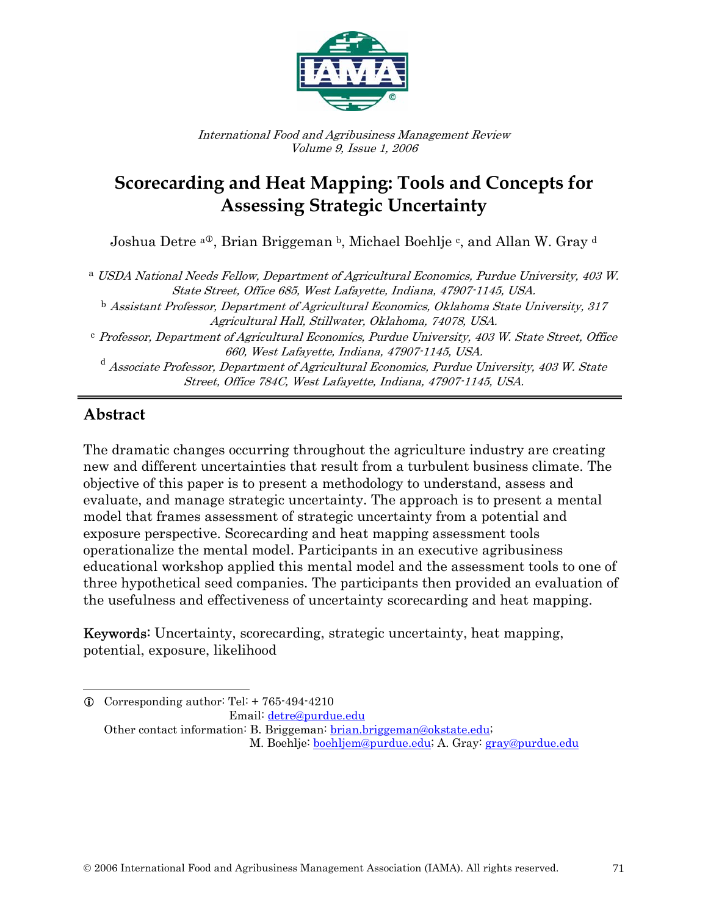

International Food and Agribusiness Management Review Volume 9, Issue 1, 2006

# **Scorecarding and Heat Mapping: Tools and Concepts for Assessing Strategic Uncertainty**

Joshua Detre <sup>a®</sup>, Brian Briggeman <sup>b</sup>, Michael Boehlje <sup>c</sup>, and Allan W. Gray <sup>d</sup>

<sup>a</sup> USDA National Needs Fellow, Department of Agricultural Economics, Purdue University, 403 W. State Street, Office 685, West Lafayette, Indiana, 47907-1145, USA.

<sup>b</sup> Assistant Professor, Department of Agricultural Economics, Oklahoma State University, 317 Agricultural Hall, Stillwater, Oklahoma, 74078, USA.

<sup>c</sup> Professor, Department of Agricultural Economics, Purdue University, 403 W. State Street, Office 660, West Lafayette, Indiana, 47907-1145, USA.

<sup>d</sup> Associate Professor, Department of Agricultural Economics, Purdue University, 403 W. State Street, Office 784C, West Lafayette, Indiana, 47907-1145, USA.

# **Abstract**

1

 $\overline{a}$ 

The dramatic changes occurring throughout the agriculture industry are creating new and different uncertainties that result from a turbulent business climate. The objective of this paper is to present a methodology to understand, assess and evaluate, and manage strategic uncertainty. The approach is to present a mental model that frames assessment of strategic uncertainty from a potential and exposure perspective. Scorecarding and heat mapping assessment tools operationalize the mental model. Participants in an executive agribusiness educational workshop applied this mental model and the assessment tools to one of three hypothetical seed companies. The participants then provided an evaluation of the usefulness and effectiveness of uncertainty scorecarding and heat mapping.

Keywords: Uncertainty, scorecarding, strategic uncertainty, heat mapping, potential, exposure, likelihood

 $\odot$  Corresponding author: Tel: + 765-494-4210 Email: detre@purdue.edu

Other contact information: B. Briggeman: brian.briggeman@okstate.edu; M. Boehlje: boehljem@purdue.edu; A. Gray: gray@purdue.edu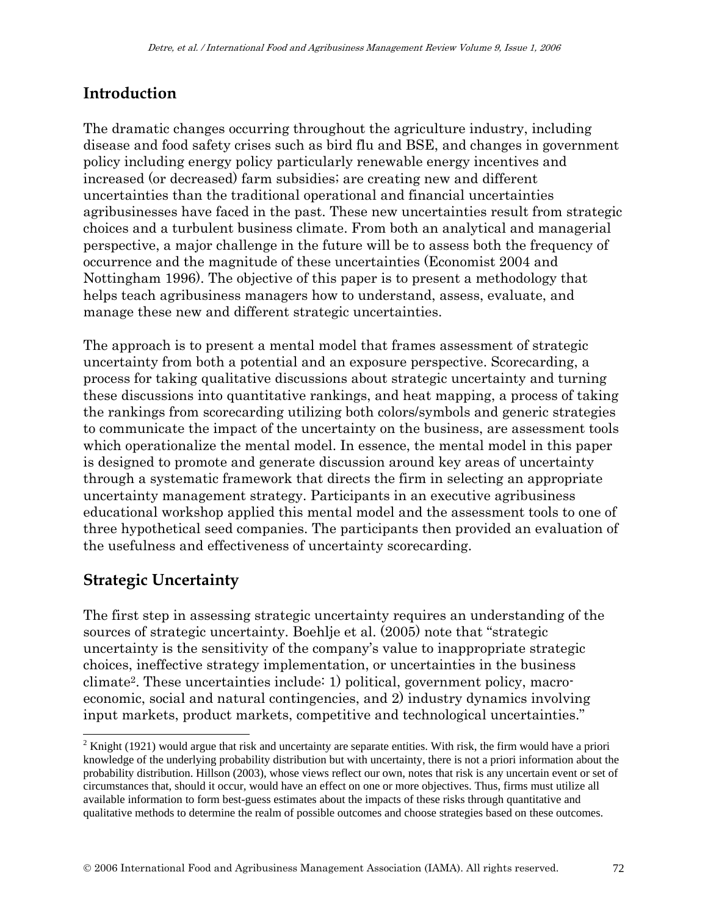# **Introduction**

The dramatic changes occurring throughout the agriculture industry, including disease and food safety crises such as bird flu and BSE, and changes in government policy including energy policy particularly renewable energy incentives and increased (or decreased) farm subsidies; are creating new and different uncertainties than the traditional operational and financial uncertainties agribusinesses have faced in the past. These new uncertainties result from strategic choices and a turbulent business climate. From both an analytical and managerial perspective, a major challenge in the future will be to assess both the frequency of occurrence and the magnitude of these uncertainties (Economist 2004 and Nottingham 1996). The objective of this paper is to present a methodology that helps teach agribusiness managers how to understand, assess, evaluate, and manage these new and different strategic uncertainties.

The approach is to present a mental model that frames assessment of strategic uncertainty from both a potential and an exposure perspective. Scorecarding, a process for taking qualitative discussions about strategic uncertainty and turning these discussions into quantitative rankings, and heat mapping, a process of taking the rankings from scorecarding utilizing both colors/symbols and generic strategies to communicate the impact of the uncertainty on the business, are assessment tools which operationalize the mental model. In essence, the mental model in this paper is designed to promote and generate discussion around key areas of uncertainty through a systematic framework that directs the firm in selecting an appropriate uncertainty management strategy. Participants in an executive agribusiness educational workshop applied this mental model and the assessment tools to one of three hypothetical seed companies. The participants then provided an evaluation of the usefulness and effectiveness of uncertainty scorecarding.

# **Strategic Uncertainty**

 $\overline{\phantom{a}}$ 

The first step in assessing strategic uncertainty requires an understanding of the sources of strategic uncertainty. Boehlje et al. (2005) note that "strategic uncertainty is the sensitivity of the company's value to inappropriate strategic choices, ineffective strategy implementation, or uncertainties in the business climate2. These uncertainties include: 1) political, government policy, macroeconomic, social and natural contingencies, and 2) industry dynamics involving input markets, product markets, competitive and technological uncertainties."

<sup>&</sup>lt;sup>2</sup> Knight (1921) would argue that risk and uncertainty are separate entities. With risk, the firm would have a priori knowledge of the underlying probability distribution but with uncertainty, there is not a priori information about the probability distribution. Hillson (2003), whose views reflect our own, notes that risk is any uncertain event or set of circumstances that, should it occur, would have an effect on one or more objectives. Thus, firms must utilize all available information to form best-guess estimates about the impacts of these risks through quantitative and qualitative methods to determine the realm of possible outcomes and choose strategies based on these outcomes.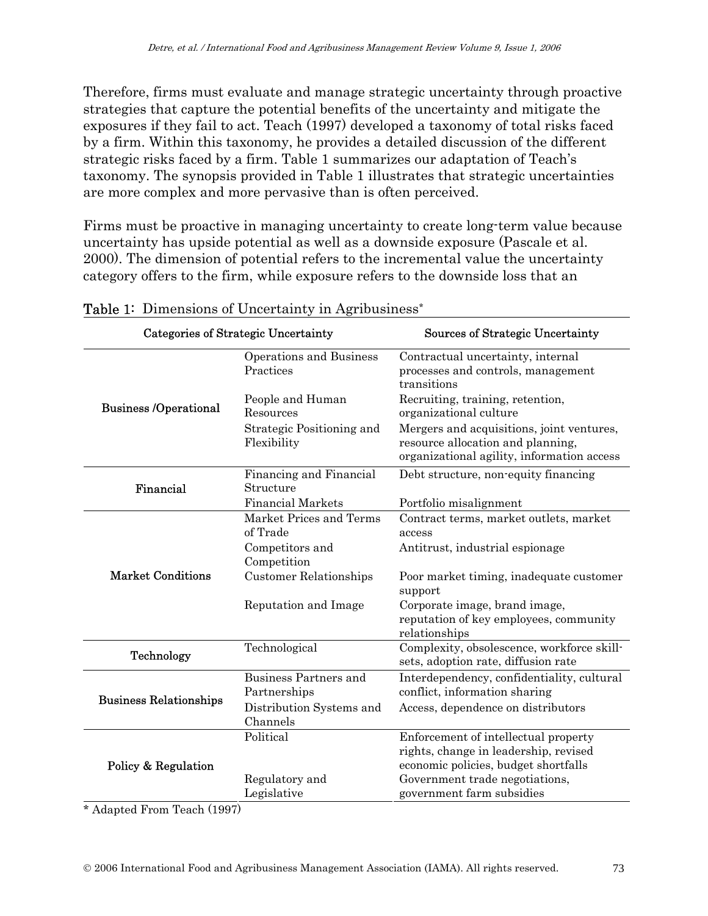Therefore, firms must evaluate and manage strategic uncertainty through proactive strategies that capture the potential benefits of the uncertainty and mitigate the exposures if they fail to act. Teach (1997) developed a taxonomy of total risks faced by a firm. Within this taxonomy, he provides a detailed discussion of the different strategic risks faced by a firm. Table 1 summarizes our adaptation of Teach's taxonomy. The synopsis provided in Table 1 illustrates that strategic uncertainties are more complex and more pervasive than is often perceived.

Firms must be proactive in managing uncertainty to create long-term value because uncertainty has upside potential as well as a downside exposure (Pascale et al. 2000). The dimension of potential refers to the incremental value the uncertainty category offers to the firm, while exposure refers to the downside loss that an

| Categories of Strategic Uncertainty |                                              | Sources of Strategic Uncertainty                                                                                                                        |  |  |  |  |  |
|-------------------------------------|----------------------------------------------|---------------------------------------------------------------------------------------------------------------------------------------------------------|--|--|--|--|--|
|                                     | Operations and Business<br>Practices         | Contractual uncertainty, internal<br>processes and controls, management<br>transitions                                                                  |  |  |  |  |  |
| <b>Business /Operational</b>        | People and Human<br>Resources                | Recruiting, training, retention,<br>organizational culture                                                                                              |  |  |  |  |  |
|                                     | Strategic Positioning and<br>Flexibility     | Mergers and acquisitions, joint ventures,<br>resource allocation and planning,<br>organizational agility, information access                            |  |  |  |  |  |
| Financial                           | Financing and Financial<br>Structure         | Debt structure, non-equity financing                                                                                                                    |  |  |  |  |  |
|                                     | <b>Financial Markets</b>                     | Portfolio misalignment                                                                                                                                  |  |  |  |  |  |
|                                     | Market Prices and Terms<br>of Trade          | Contract terms, market outlets, market<br>access                                                                                                        |  |  |  |  |  |
|                                     | Competitors and<br>Competition               | Antitrust, industrial espionage                                                                                                                         |  |  |  |  |  |
| <b>Market Conditions</b>            | <b>Customer Relationships</b>                | Poor market timing, inadequate customer<br>support                                                                                                      |  |  |  |  |  |
|                                     | Reputation and Image                         | Corporate image, brand image,<br>reputation of key employees, community<br>relationships                                                                |  |  |  |  |  |
| Technology                          | Technological                                | Complexity, obsolescence, workforce skill-<br>sets, adoption rate, diffusion rate                                                                       |  |  |  |  |  |
| <b>Business Relationships</b>       | <b>Business Partners and</b><br>Partnerships | Interdependency, confidentiality, cultural<br>conflict, information sharing                                                                             |  |  |  |  |  |
|                                     | Distribution Systems and<br>Channels         | Access, dependence on distributors                                                                                                                      |  |  |  |  |  |
| Policy & Regulation                 | Political<br>Regulatory and                  | Enforcement of intellectual property<br>rights, change in leadership, revised<br>economic policies, budget shortfalls<br>Government trade negotiations, |  |  |  |  |  |
|                                     | Legislative                                  | government farm subsidies                                                                                                                               |  |  |  |  |  |

#### Table 1: Dimensions of Uncertainty in Agribusiness<sup>\*</sup>

\* Adapted From Teach (1997)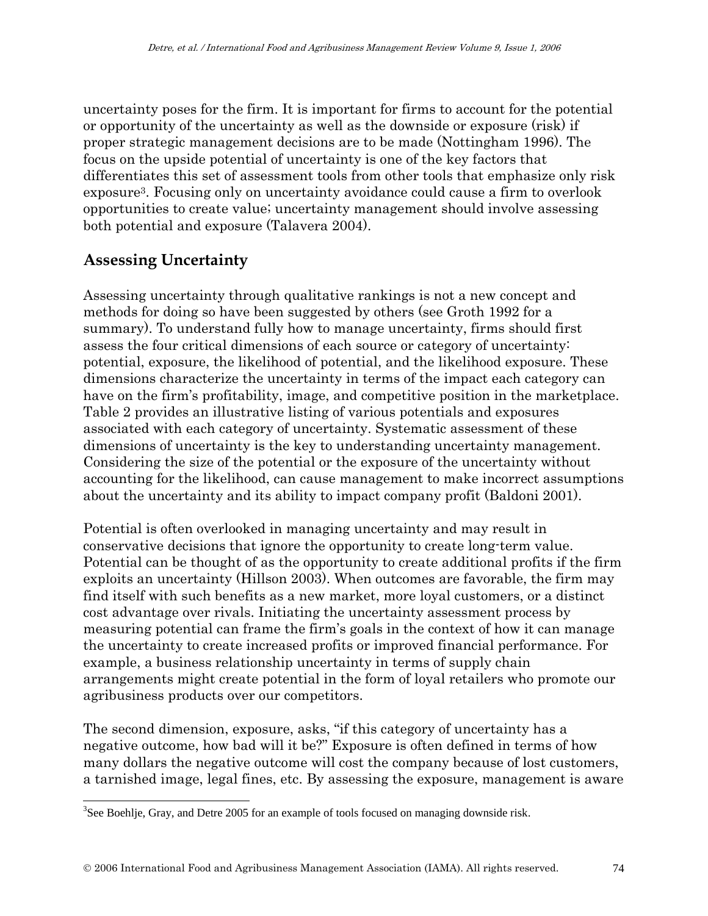uncertainty poses for the firm. It is important for firms to account for the potential or opportunity of the uncertainty as well as the downside or exposure (risk) if proper strategic management decisions are to be made (Nottingham 1996). The focus on the upside potential of uncertainty is one of the key factors that differentiates this set of assessment tools from other tools that emphasize only risk exposure3. Focusing only on uncertainty avoidance could cause a firm to overlook opportunities to create value; uncertainty management should involve assessing both potential and exposure (Talavera 2004).

# **Assessing Uncertainty**

 $\overline{\phantom{a}}$ 

Assessing uncertainty through qualitative rankings is not a new concept and methods for doing so have been suggested by others (see Groth 1992 for a summary). To understand fully how to manage uncertainty, firms should first assess the four critical dimensions of each source or category of uncertainty: potential, exposure, the likelihood of potential, and the likelihood exposure. These dimensions characterize the uncertainty in terms of the impact each category can have on the firm's profitability, image, and competitive position in the marketplace. Table 2 provides an illustrative listing of various potentials and exposures associated with each category of uncertainty. Systematic assessment of these dimensions of uncertainty is the key to understanding uncertainty management. Considering the size of the potential or the exposure of the uncertainty without accounting for the likelihood, can cause management to make incorrect assumptions about the uncertainty and its ability to impact company profit (Baldoni 2001).

Potential is often overlooked in managing uncertainty and may result in conservative decisions that ignore the opportunity to create long-term value. Potential can be thought of as the opportunity to create additional profits if the firm exploits an uncertainty (Hillson 2003). When outcomes are favorable, the firm may find itself with such benefits as a new market, more loyal customers, or a distinct cost advantage over rivals. Initiating the uncertainty assessment process by measuring potential can frame the firm's goals in the context of how it can manage the uncertainty to create increased profits or improved financial performance. For example, a business relationship uncertainty in terms of supply chain arrangements might create potential in the form of loyal retailers who promote our agribusiness products over our competitors.

The second dimension, exposure, asks, "if this category of uncertainty has a negative outcome, how bad will it be?" Exposure is often defined in terms of how many dollars the negative outcome will cost the company because of lost customers, a tarnished image, legal fines, etc. By assessing the exposure, management is aware

 $3$ See Boehlje, Gray, and Detre 2005 for an example of tools focused on managing downside risk.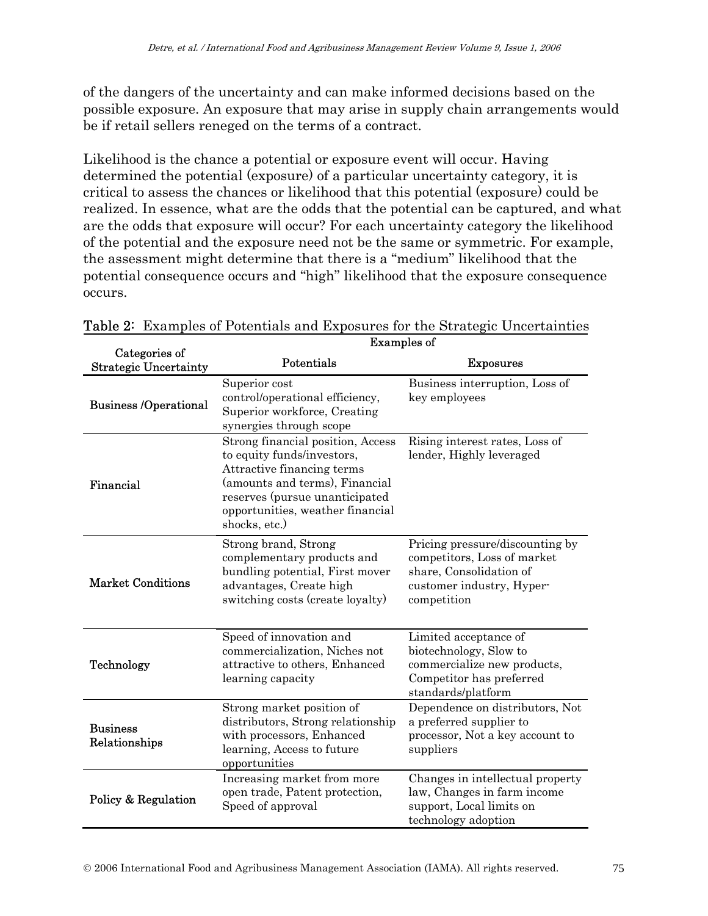of the dangers of the uncertainty and can make informed decisions based on the possible exposure. An exposure that may arise in supply chain arrangements would be if retail sellers reneged on the terms of a contract.

Likelihood is the chance a potential or exposure event will occur. Having determined the potential (exposure) of a particular uncertainty category, it is critical to assess the chances or likelihood that this potential (exposure) could be realized. In essence, what are the odds that the potential can be captured, and what are the odds that exposure will occur? For each uncertainty category the likelihood of the potential and the exposure need not be the same or symmetric. For example, the assessment might determine that there is a "medium" likelihood that the potential consequence occurs and "high" likelihood that the exposure consequence occurs.

|                                               | <b>Examples of</b>                                                                                                                                                                                                     |                                                                                                                                       |  |  |  |  |  |
|-----------------------------------------------|------------------------------------------------------------------------------------------------------------------------------------------------------------------------------------------------------------------------|---------------------------------------------------------------------------------------------------------------------------------------|--|--|--|--|--|
| Categories of<br><b>Strategic Uncertainty</b> | Potentials                                                                                                                                                                                                             | <b>Exposures</b>                                                                                                                      |  |  |  |  |  |
| <b>Business /Operational</b>                  | Superior cost<br>control/operational efficiency,<br>Superior workforce, Creating<br>synergies through scope                                                                                                            | Business interruption, Loss of<br>key employees                                                                                       |  |  |  |  |  |
| Financial                                     | Strong financial position, Access<br>to equity funds/investors,<br>Attractive financing terms<br>(amounts and terms), Financial<br>reserves (pursue unanticipated<br>opportunities, weather financial<br>shocks, etc.) | Rising interest rates, Loss of<br>lender, Highly leveraged                                                                            |  |  |  |  |  |
| <b>Market Conditions</b>                      | Strong brand, Strong<br>complementary products and<br>bundling potential, First mover<br>advantages, Create high<br>switching costs (create loyalty)                                                                   | Pricing pressure/discounting by<br>competitors, Loss of market<br>share, Consolidation of<br>customer industry, Hyper-<br>competition |  |  |  |  |  |
| Technology                                    | Speed of innovation and<br>commercialization, Niches not<br>attractive to others, Enhanced<br>learning capacity                                                                                                        | Limited acceptance of<br>biotechnology, Slow to<br>commercialize new products,<br>Competitor has preferred<br>standards/platform      |  |  |  |  |  |
| <b>Business</b><br>Relationships              | Strong market position of<br>distributors, Strong relationship<br>with processors, Enhanced<br>learning, Access to future<br>opportunities                                                                             | Dependence on distributors, Not<br>a preferred supplier to<br>processor, Not a key account to<br>suppliers                            |  |  |  |  |  |
| Policy & Regulation                           | Increasing market from more<br>open trade, Patent protection,<br>Speed of approval                                                                                                                                     | Changes in intellectual property<br>law, Changes in farm income<br>support, Local limits on<br>technology adoption                    |  |  |  |  |  |

Table 2: Examples of Potentials and Exposures for the Strategic Uncertainties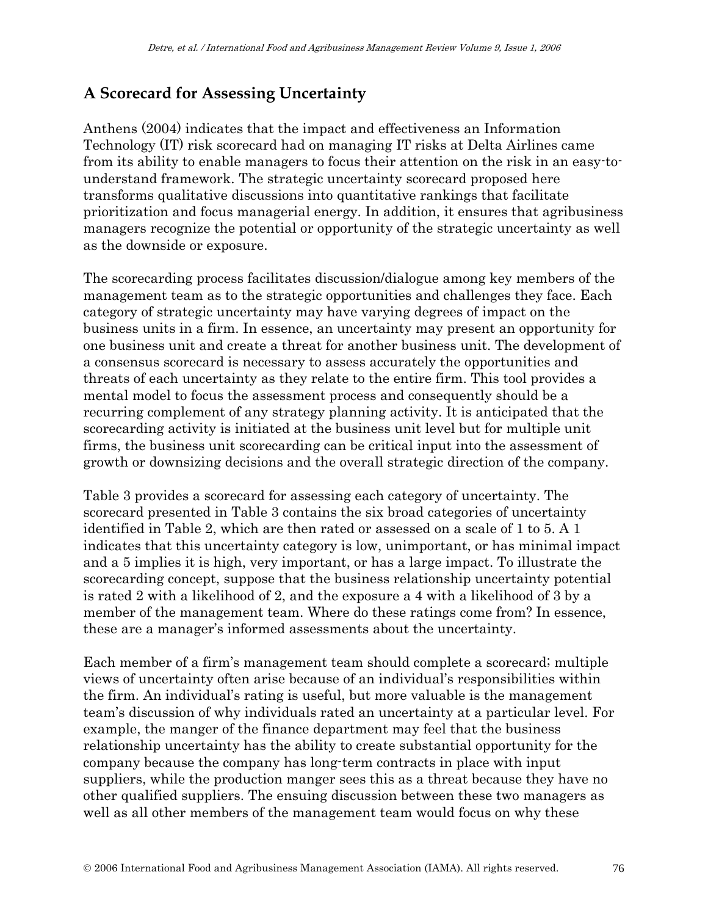# **A Scorecard for Assessing Uncertainty**

Anthens (2004) indicates that the impact and effectiveness an Information Technology (IT) risk scorecard had on managing IT risks at Delta Airlines came from its ability to enable managers to focus their attention on the risk in an easy-tounderstand framework. The strategic uncertainty scorecard proposed here transforms qualitative discussions into quantitative rankings that facilitate prioritization and focus managerial energy. In addition, it ensures that agribusiness managers recognize the potential or opportunity of the strategic uncertainty as well as the downside or exposure.

The scorecarding process facilitates discussion/dialogue among key members of the management team as to the strategic opportunities and challenges they face. Each category of strategic uncertainty may have varying degrees of impact on the business units in a firm. In essence, an uncertainty may present an opportunity for one business unit and create a threat for another business unit. The development of a consensus scorecard is necessary to assess accurately the opportunities and threats of each uncertainty as they relate to the entire firm. This tool provides a mental model to focus the assessment process and consequently should be a recurring complement of any strategy planning activity. It is anticipated that the scorecarding activity is initiated at the business unit level but for multiple unit firms, the business unit scorecarding can be critical input into the assessment of growth or downsizing decisions and the overall strategic direction of the company.

Table 3 provides a scorecard for assessing each category of uncertainty. The scorecard presented in Table 3 contains the six broad categories of uncertainty identified in Table 2, which are then rated or assessed on a scale of 1 to 5. A 1 indicates that this uncertainty category is low, unimportant, or has minimal impact and a 5 implies it is high, very important, or has a large impact. To illustrate the scorecarding concept, suppose that the business relationship uncertainty potential is rated 2 with a likelihood of 2, and the exposure a 4 with a likelihood of 3 by a member of the management team. Where do these ratings come from? In essence, these are a manager's informed assessments about the uncertainty.

Each member of a firm's management team should complete a scorecard; multiple views of uncertainty often arise because of an individual's responsibilities within the firm. An individual's rating is useful, but more valuable is the management team's discussion of why individuals rated an uncertainty at a particular level. For example, the manger of the finance department may feel that the business relationship uncertainty has the ability to create substantial opportunity for the company because the company has long-term contracts in place with input suppliers, while the production manger sees this as a threat because they have no other qualified suppliers. The ensuing discussion between these two managers as well as all other members of the management team would focus on why these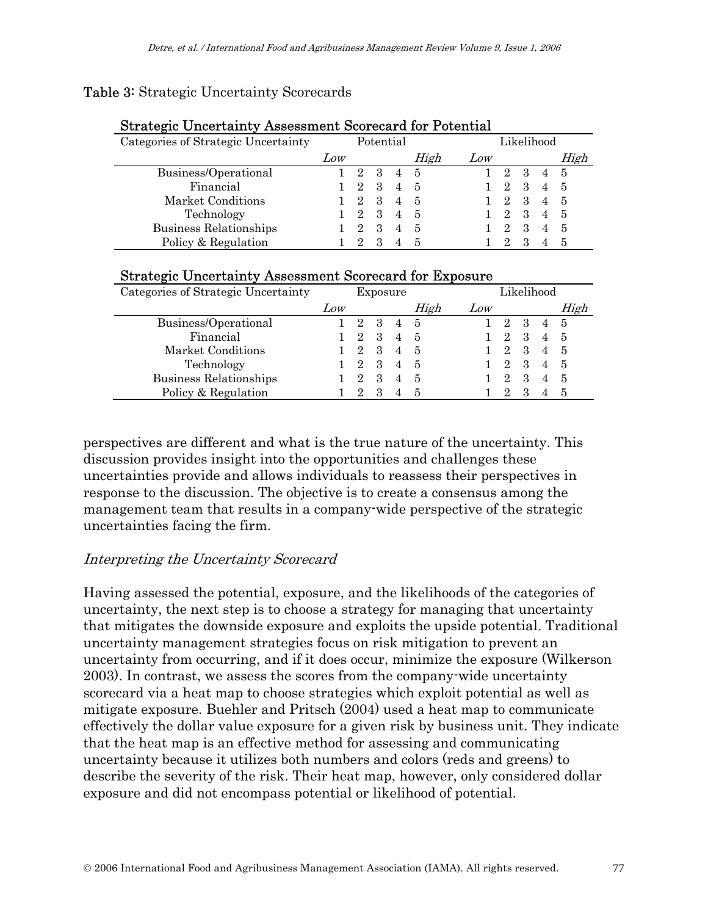### Table 3: Strategic Uncertainty Scorecards

| <b>Strategic Uncertainty Assessment Scorecard for Potential</b> |           |                             |               |                |      |     |                             |   |                |      |
|-----------------------------------------------------------------|-----------|-----------------------------|---------------|----------------|------|-----|-----------------------------|---|----------------|------|
| Categories of Strategic Uncertainty                             | Potential |                             |               | Likelihood     |      |     |                             |   |                |      |
|                                                                 | Low       |                             |               |                | High | Low |                             |   |                | High |
| Business/Operational                                            |           | $\mathcal{D}_{\mathcal{L}}$ | $\mathcal{S}$ |                | - 5  |     | $\mathcal{D}_{\mathcal{L}}$ | 3 |                | - 5  |
| Financial                                                       |           | $\overline{2}$              | 3             | $\overline{4}$ | -5   |     | $\overline{2}$              | 3 | $\overline{4}$ | - 5  |
| Market Conditions                                               |           | $\overline{2}$              | 3             |                | -5   |     | $\mathcal{D}_{\mathcal{L}}$ | 3 | $\overline{4}$ | - 5  |
| Technology                                                      |           | $\overline{2}$              | 3             | $\overline{4}$ | -5   |     | $\mathcal{D}_{\mathcal{L}}$ | 3 | $\overline{4}$ | - 5  |
| <b>Business Relationships</b>                                   |           | $\mathcal{D}_{\mathcal{L}}$ | 3             | $\overline{4}$ | 5    |     | $\mathcal{D}_{\mathcal{L}}$ | 3 |                | -5   |
| Policy & Regulation                                             |           | 9                           | З             |                |      |     |                             |   |                | 5    |

# Strategic Uncertainty Assessment Scorecard for Exposure

| Categories of Strategic Uncertainty | Exposure |                             |                             |                | Likelihood |     |   |   |   |      |
|-------------------------------------|----------|-----------------------------|-----------------------------|----------------|------------|-----|---|---|---|------|
|                                     | Low      |                             |                             |                | High       | Low |   |   |   | High |
| Business/Operational                |          | 2                           | 3                           | $\overline{4}$ | -5         |     | 2 | 3 | 4 | - 5  |
| Financial                           |          | $\overline{2}$              | 3                           | $\overline{4}$ | -5         |     | 2 | 3 | 4 | -5   |
| Market Conditions                   |          | 2                           | $\mathcal{S}_{\mathcal{S}}$ | 4              | -5         |     |   | З |   | -5   |
| Technology                          |          | 2                           | 3                           |                | 5          |     |   | 3 |   | -5   |
| <b>Business Relationships</b>       |          | $\mathcal{D}_{\mathcal{L}}$ | 3                           | 4              | 5          |     | 2 | З |   | -5   |
| Policy & Regulation                 |          | 9                           | З                           |                | -5         |     |   |   |   | -5   |

perspectives are different and what is the true nature of the uncertainty. This discussion provides insight into the opportunities and challenges these uncertainties provide and allows individuals to reassess their perspectives in response to the discussion. The objective is to create a consensus among the management team that results in a company-wide perspective of the strategic uncertainties facing the firm.

### Interpreting the Uncertainty Scorecard

Having assessed the potential, exposure, and the likelihoods of the categories of uncertainty, the next step is to choose a strategy for managing that uncertainty that mitigates the downside exposure and exploits the upside potential. Traditional uncertainty management strategies focus on risk mitigation to prevent an uncertainty from occurring, and if it does occur, minimize the exposure (Wilkerson 2003). In contrast, we assess the scores from the company-wide uncertainty scorecard via a heat map to choose strategies which exploit potential as well as mitigate exposure. Buehler and Pritsch (2004) used a heat map to communicate effectively the dollar value exposure for a given risk by business unit. They indicate that the heat map is an effective method for assessing and communicating uncertainty because it utilizes both numbers and colors (reds and greens) to describe the severity of the risk. Their heat map, however, only considered dollar exposure and did not encompass potential or likelihood of potential.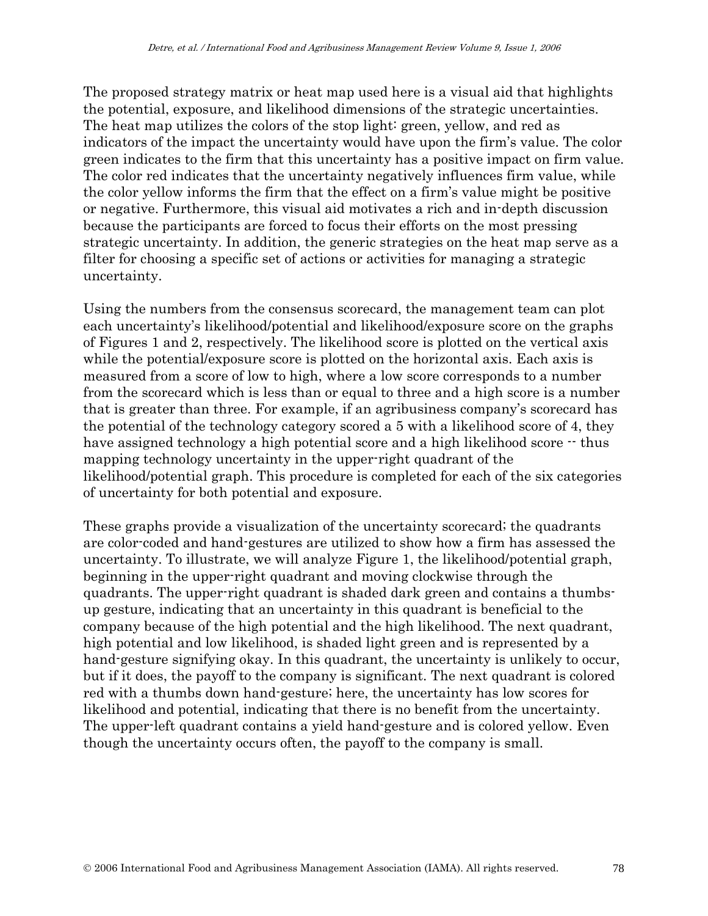The proposed strategy matrix or heat map used here is a visual aid that highlights the potential, exposure, and likelihood dimensions of the strategic uncertainties. The heat map utilizes the colors of the stop light: green, yellow, and red as indicators of the impact the uncertainty would have upon the firm's value. The color green indicates to the firm that this uncertainty has a positive impact on firm value. The color red indicates that the uncertainty negatively influences firm value, while the color yellow informs the firm that the effect on a firm's value might be positive or negative. Furthermore, this visual aid motivates a rich and in-depth discussion because the participants are forced to focus their efforts on the most pressing strategic uncertainty. In addition, the generic strategies on the heat map serve as a filter for choosing a specific set of actions or activities for managing a strategic uncertainty.

Using the numbers from the consensus scorecard, the management team can plot each uncertainty's likelihood/potential and likelihood/exposure score on the graphs of Figures 1 and 2, respectively. The likelihood score is plotted on the vertical axis while the potential/exposure score is plotted on the horizontal axis. Each axis is measured from a score of low to high, where a low score corresponds to a number from the scorecard which is less than or equal to three and a high score is a number that is greater than three. For example, if an agribusiness company's scorecard has the potential of the technology category scored a 5 with a likelihood score of 4, they have assigned technology a high potential score and a high likelihood score  $\cdot$  thus mapping technology uncertainty in the upper-right quadrant of the likelihood/potential graph. This procedure is completed for each of the six categories of uncertainty for both potential and exposure.

These graphs provide a visualization of the uncertainty scorecard; the quadrants are color-coded and hand-gestures are utilized to show how a firm has assessed the uncertainty. To illustrate, we will analyze Figure 1, the likelihood/potential graph, beginning in the upper-right quadrant and moving clockwise through the quadrants. The upper-right quadrant is shaded dark green and contains a thumbsup gesture, indicating that an uncertainty in this quadrant is beneficial to the company because of the high potential and the high likelihood. The next quadrant, high potential and low likelihood, is shaded light green and is represented by a hand-gesture signifying okay. In this quadrant, the uncertainty is unlikely to occur, but if it does, the payoff to the company is significant. The next quadrant is colored red with a thumbs down hand-gesture; here, the uncertainty has low scores for likelihood and potential, indicating that there is no benefit from the uncertainty. The upper-left quadrant contains a yield hand-gesture and is colored yellow. Even though the uncertainty occurs often, the payoff to the company is small.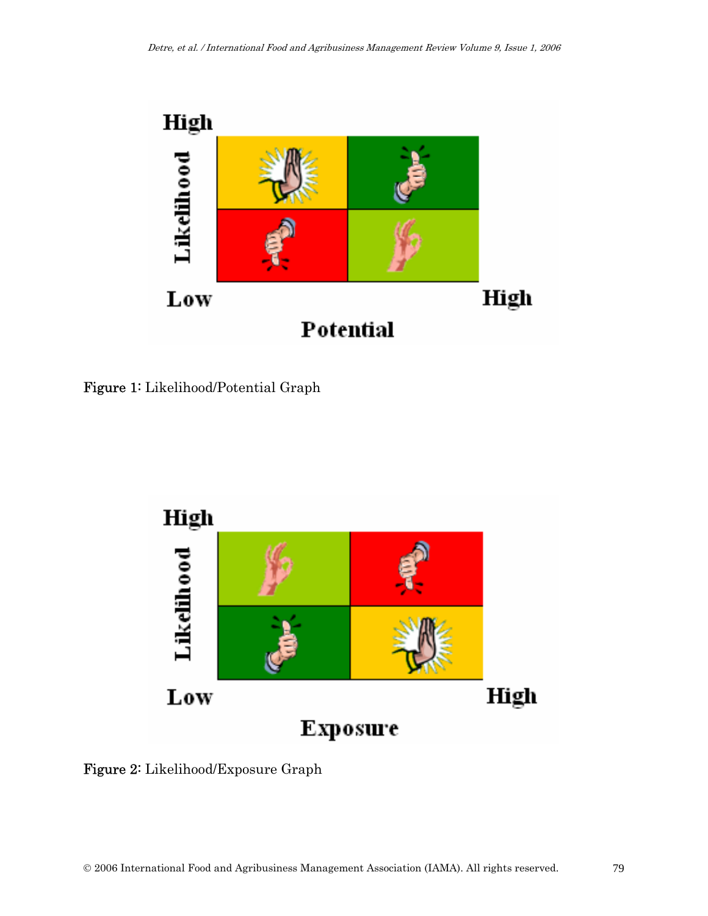

Figure 1: Likelihood/Potential Graph



Figure 2: Likelihood/Exposure Graph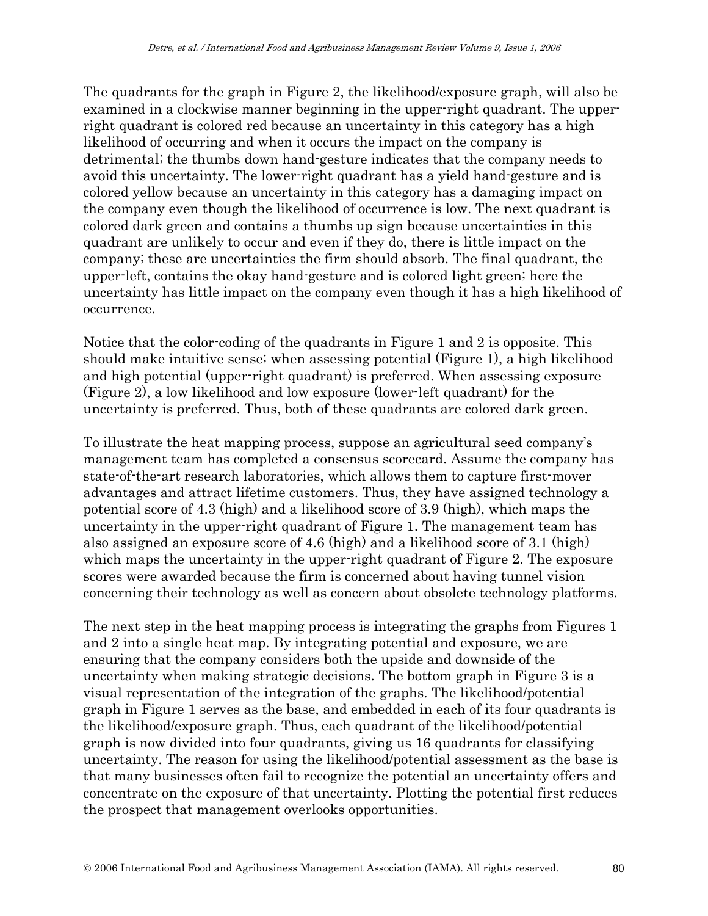The quadrants for the graph in Figure 2, the likelihood/exposure graph, will also be examined in a clockwise manner beginning in the upper-right quadrant. The upperright quadrant is colored red because an uncertainty in this category has a high likelihood of occurring and when it occurs the impact on the company is detrimental; the thumbs down hand-gesture indicates that the company needs to avoid this uncertainty. The lower-right quadrant has a yield hand-gesture and is colored yellow because an uncertainty in this category has a damaging impact on the company even though the likelihood of occurrence is low. The next quadrant is colored dark green and contains a thumbs up sign because uncertainties in this quadrant are unlikely to occur and even if they do, there is little impact on the company; these are uncertainties the firm should absorb. The final quadrant, the upper-left, contains the okay hand-gesture and is colored light green; here the uncertainty has little impact on the company even though it has a high likelihood of occurrence.

Notice that the color-coding of the quadrants in Figure 1 and 2 is opposite. This should make intuitive sense; when assessing potential (Figure 1), a high likelihood and high potential (upper-right quadrant) is preferred. When assessing exposure (Figure 2), a low likelihood and low exposure (lower-left quadrant) for the uncertainty is preferred. Thus, both of these quadrants are colored dark green.

To illustrate the heat mapping process, suppose an agricultural seed company's management team has completed a consensus scorecard. Assume the company has state-of-the-art research laboratories, which allows them to capture first-mover advantages and attract lifetime customers. Thus, they have assigned technology a potential score of 4.3 (high) and a likelihood score of 3.9 (high), which maps the uncertainty in the upper-right quadrant of Figure 1. The management team has also assigned an exposure score of 4.6 (high) and a likelihood score of 3.1 (high) which maps the uncertainty in the upper-right quadrant of Figure 2. The exposure scores were awarded because the firm is concerned about having tunnel vision concerning their technology as well as concern about obsolete technology platforms.

The next step in the heat mapping process is integrating the graphs from Figures 1 and 2 into a single heat map. By integrating potential and exposure, we are ensuring that the company considers both the upside and downside of the uncertainty when making strategic decisions. The bottom graph in Figure 3 is a visual representation of the integration of the graphs. The likelihood/potential graph in Figure 1 serves as the base, and embedded in each of its four quadrants is the likelihood/exposure graph. Thus, each quadrant of the likelihood/potential graph is now divided into four quadrants, giving us 16 quadrants for classifying uncertainty. The reason for using the likelihood/potential assessment as the base is that many businesses often fail to recognize the potential an uncertainty offers and concentrate on the exposure of that uncertainty. Plotting the potential first reduces the prospect that management overlooks opportunities.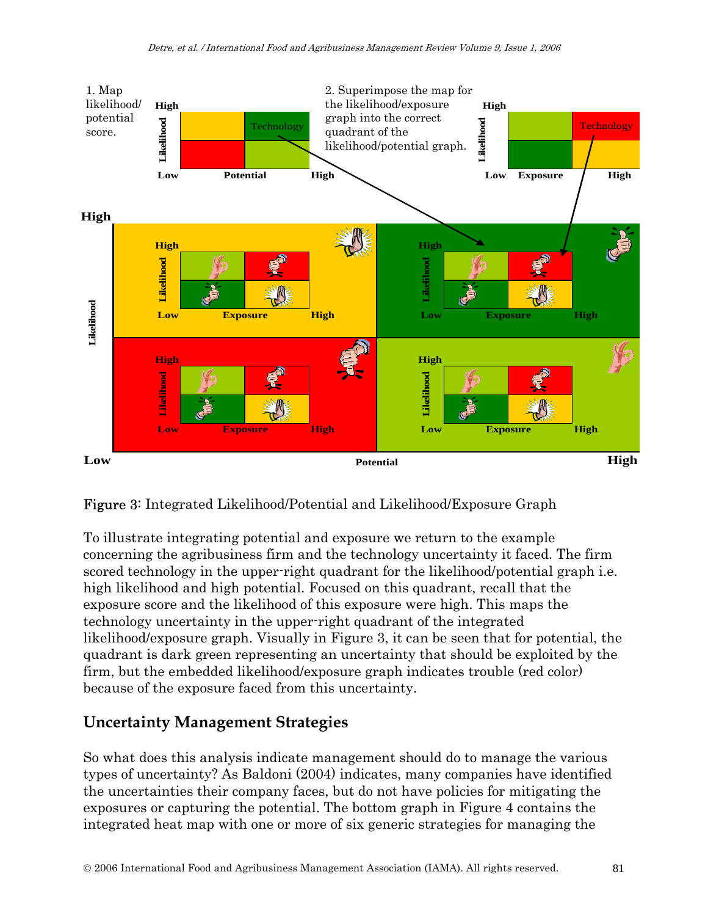



To illustrate integrating potential and exposure we return to the example concerning the agribusiness firm and the technology uncertainty it faced. The firm scored technology in the upper-right quadrant for the likelihood/potential graph i.e. high likelihood and high potential. Focused on this quadrant, recall that the exposure score and the likelihood of this exposure were high. This maps the technology uncertainty in the upper-right quadrant of the integrated likelihood/exposure graph. Visually in Figure 3, it can be seen that for potential, the quadrant is dark green representing an uncertainty that should be exploited by the firm, but the embedded likelihood/exposure graph indicates trouble (red color) because of the exposure faced from this uncertainty.

# **Uncertainty Management Strategies**

So what does this analysis indicate management should do to manage the various types of uncertainty? As Baldoni (2004) indicates, many companies have identified the uncertainties their company faces, but do not have policies for mitigating the exposures or capturing the potential. The bottom graph in Figure 4 contains the integrated heat map with one or more of six generic strategies for managing the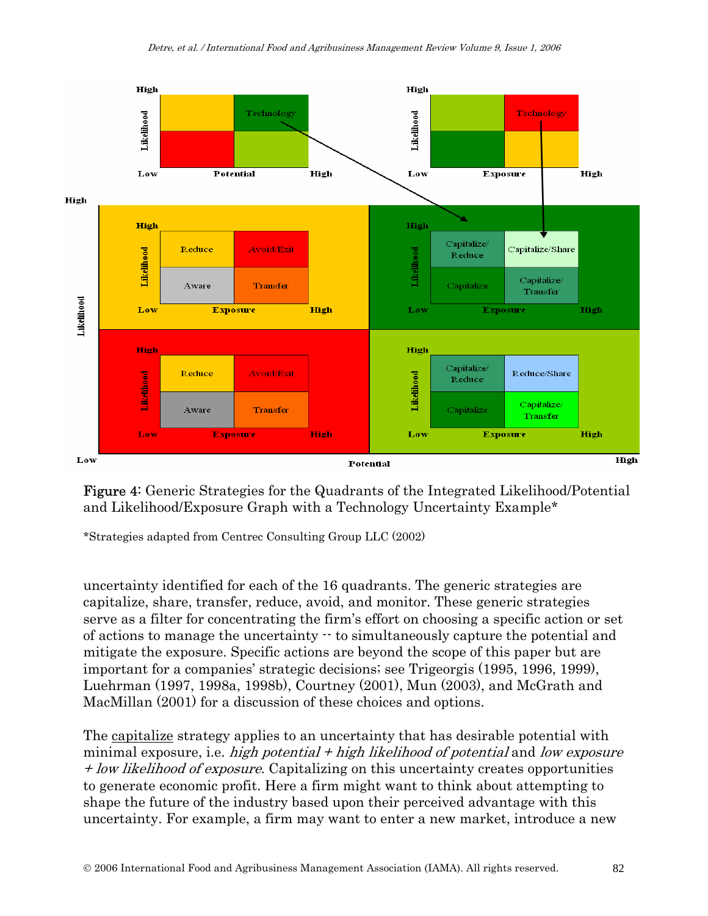

Figure 4: Generic Strategies for the Quadrants of the Integrated Likelihood/Potential and Likelihood/Exposure Graph with a Technology Uncertainty Example\*

\*Strategies adapted from Centrec Consulting Group LLC (2002)

uncertainty identified for each of the 16 quadrants. The generic strategies are capitalize, share, transfer, reduce, avoid, and monitor. These generic strategies serve as a filter for concentrating the firm's effort on choosing a specific action or set of actions to manage the uncertainty -- to simultaneously capture the potential and mitigate the exposure. Specific actions are beyond the scope of this paper but are important for a companies' strategic decisions; see Trigeorgis (1995, 1996, 1999), Luehrman (1997, 1998a, 1998b), Courtney (2001), Mun (2003), and McGrath and MacMillan (2001) for a discussion of these choices and options.

The capitalize strategy applies to an uncertainty that has desirable potential with minimal exposure, i.e. high potential  $+$  high likelihood of potential and low exposure + low likelihood of exposure. Capitalizing on this uncertainty creates opportunities to generate economic profit. Here a firm might want to think about attempting to shape the future of the industry based upon their perceived advantage with this uncertainty. For example, a firm may want to enter a new market, introduce a new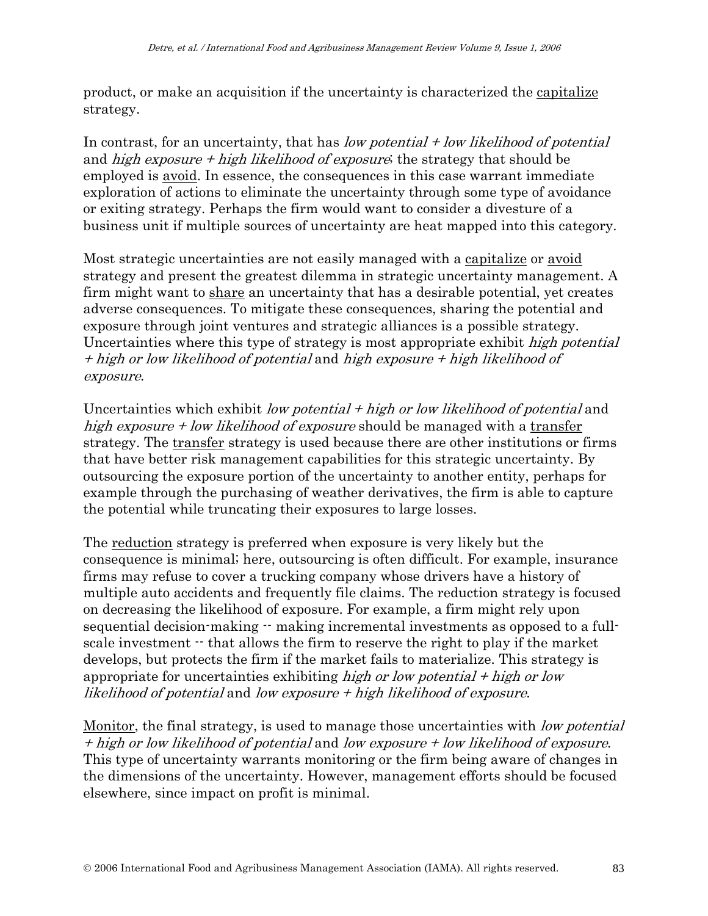product, or make an acquisition if the uncertainty is characterized the capitalize strategy.

In contrast, for an uncertainty, that has low potential  $+$  low likelihood of potential and high exposure  $+$  high likelihood of exposure; the strategy that should be employed is avoid. In essence, the consequences in this case warrant immediate exploration of actions to eliminate the uncertainty through some type of avoidance or exiting strategy. Perhaps the firm would want to consider a divesture of a business unit if multiple sources of uncertainty are heat mapped into this category.

Most strategic uncertainties are not easily managed with a capitalize or avoid strategy and present the greatest dilemma in strategic uncertainty management. A firm might want to share an uncertainty that has a desirable potential, yet creates adverse consequences. To mitigate these consequences, sharing the potential and exposure through joint ventures and strategic alliances is a possible strategy. Uncertainties where this type of strategy is most appropriate exhibit *high potential* + high or low likelihood of potential and high exposure + high likelihood of exposure.

Uncertainties which exhibit low potential  $+$  high or low likelihood of potential and high exposure  $+$  low likelihood of exposure should be managed with a transfer strategy. The transfer strategy is used because there are other institutions or firms that have better risk management capabilities for this strategic uncertainty. By outsourcing the exposure portion of the uncertainty to another entity, perhaps for example through the purchasing of weather derivatives, the firm is able to capture the potential while truncating their exposures to large losses.

The reduction strategy is preferred when exposure is very likely but the consequence is minimal; here, outsourcing is often difficult. For example, insurance firms may refuse to cover a trucking company whose drivers have a history of multiple auto accidents and frequently file claims. The reduction strategy is focused on decreasing the likelihood of exposure. For example, a firm might rely upon sequential decision-making -- making incremental investments as opposed to a fullscale investment  $\cdot$  that allows the firm to reserve the right to play if the market develops, but protects the firm if the market fails to materialize. This strategy is appropriate for uncertainties exhibiting high or low potential  $+$  high or low likelihood of potential and low exposure + high likelihood of exposure.

Monitor, the final strategy, is used to manage those uncertainties with low potential + high or low likelihood of potential and low exposure + low likelihood of exposure. This type of uncertainty warrants monitoring or the firm being aware of changes in the dimensions of the uncertainty. However, management efforts should be focused elsewhere, since impact on profit is minimal.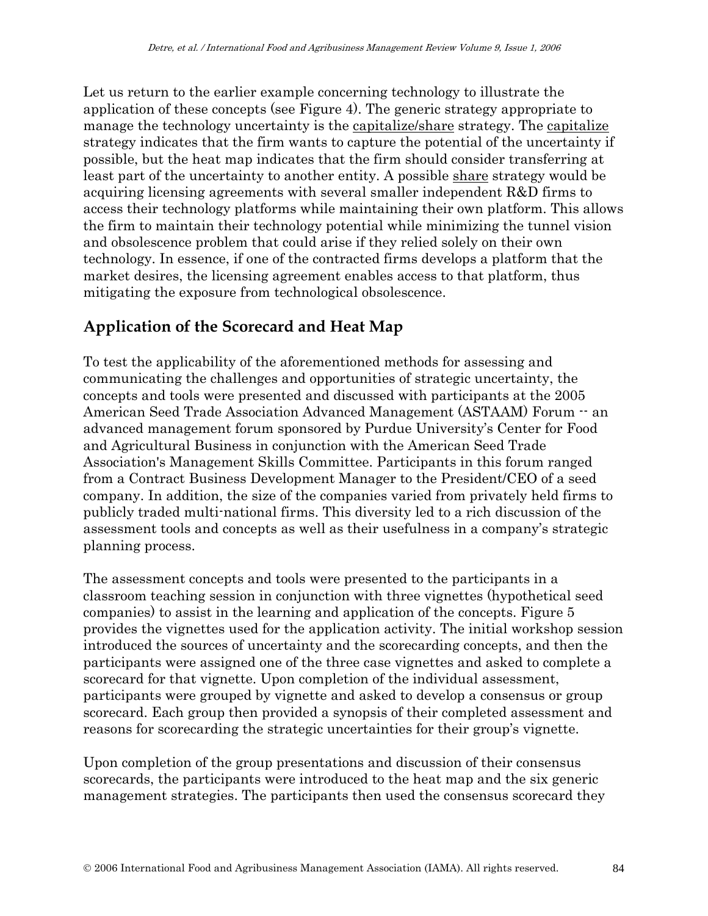Let us return to the earlier example concerning technology to illustrate the application of these concepts (see Figure 4). The generic strategy appropriate to manage the technology uncertainty is the <u>capitalize</u>/share strategy. The capitalize strategy indicates that the firm wants to capture the potential of the uncertainty if possible, but the heat map indicates that the firm should consider transferring at least part of the uncertainty to another entity. A possible share strategy would be acquiring licensing agreements with several smaller independent R&D firms to access their technology platforms while maintaining their own platform. This allows the firm to maintain their technology potential while minimizing the tunnel vision and obsolescence problem that could arise if they relied solely on their own technology. In essence, if one of the contracted firms develops a platform that the market desires, the licensing agreement enables access to that platform, thus mitigating the exposure from technological obsolescence.

# **Application of the Scorecard and Heat Map**

To test the applicability of the aforementioned methods for assessing and communicating the challenges and opportunities of strategic uncertainty, the concepts and tools were presented and discussed with participants at the 2005 American Seed Trade Association Advanced Management (ASTAAM) Forum  $\cdot$  an advanced management forum sponsored by Purdue University's Center for Food and Agricultural Business in conjunction with the American Seed Trade Association's Management Skills Committee. Participants in this forum ranged from a Contract Business Development Manager to the President/CEO of a seed company. In addition, the size of the companies varied from privately held firms to publicly traded multi-national firms. This diversity led to a rich discussion of the assessment tools and concepts as well as their usefulness in a company's strategic planning process.

The assessment concepts and tools were presented to the participants in a classroom teaching session in conjunction with three vignettes (hypothetical seed companies) to assist in the learning and application of the concepts. Figure 5 provides the vignettes used for the application activity. The initial workshop session introduced the sources of uncertainty and the scorecarding concepts, and then the participants were assigned one of the three case vignettes and asked to complete a scorecard for that vignette. Upon completion of the individual assessment, participants were grouped by vignette and asked to develop a consensus or group scorecard. Each group then provided a synopsis of their completed assessment and reasons for scorecarding the strategic uncertainties for their group's vignette.

Upon completion of the group presentations and discussion of their consensus scorecards, the participants were introduced to the heat map and the six generic management strategies. The participants then used the consensus scorecard they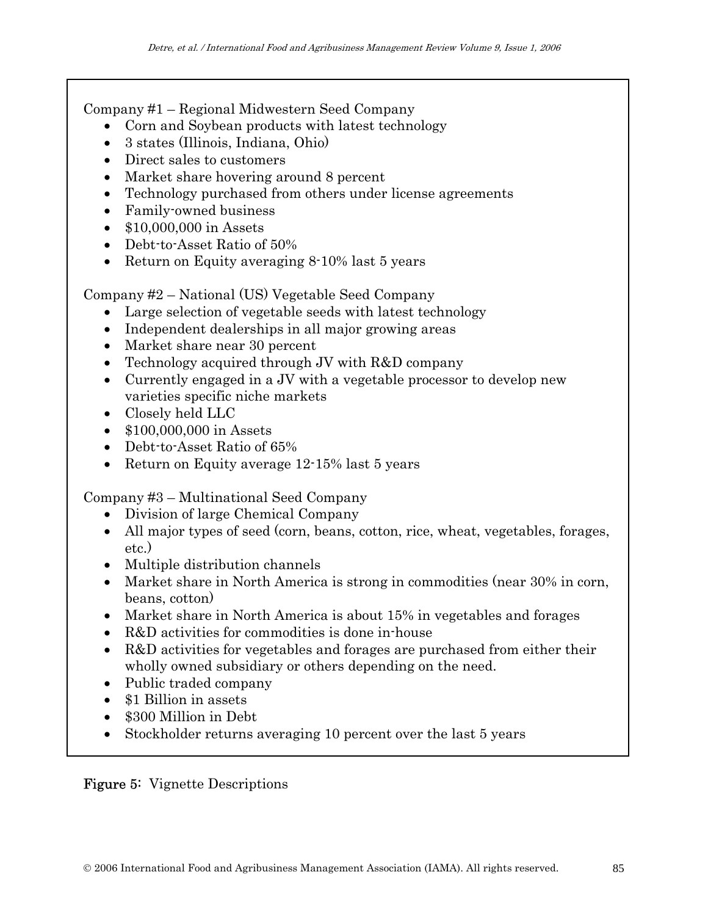Company #1 – Regional Midwestern Seed Company

- Corn and Soybean products with latest technology
- 3 states (Illinois, Indiana, Ohio)
- Direct sales to customers
- Market share hovering around 8 percent
- Technology purchased from others under license agreements
- Family-owned business
- \$10,000,000 in Assets
- Debt-to-Asset Ratio of 50%
- Return on Equity averaging 8-10% last 5 years

Company #2 – National (US) Vegetable Seed Company

- Large selection of vegetable seeds with latest technology
- Independent dealerships in all major growing areas
- Market share near 30 percent
- Technology acquired through JV with R&D company
- Currently engaged in a JV with a vegetable processor to develop new varieties specific niche markets
- Closely held LLC
- \$100,000,000 in Assets
- Debt-to-Asset Ratio of 65%
- Return on Equity average 12-15% last 5 years

Company #3 – Multinational Seed Company

- Division of large Chemical Company
- All major types of seed (corn, beans, cotton, rice, wheat, vegetables, forages, etc.)
- Multiple distribution channels
- Market share in North America is strong in commodities (near 30% in corn, beans, cotton)
- Market share in North America is about 15% in vegetables and forages
- R&D activities for commodities is done in-house
- R&D activities for vegetables and forages are purchased from either their wholly owned subsidiary or others depending on the need.
- Public traded company
- \$1 Billion in assets
- \$300 Million in Debt
- Stockholder returns averaging 10 percent over the last 5 years

### Figure 5: Vignette Descriptions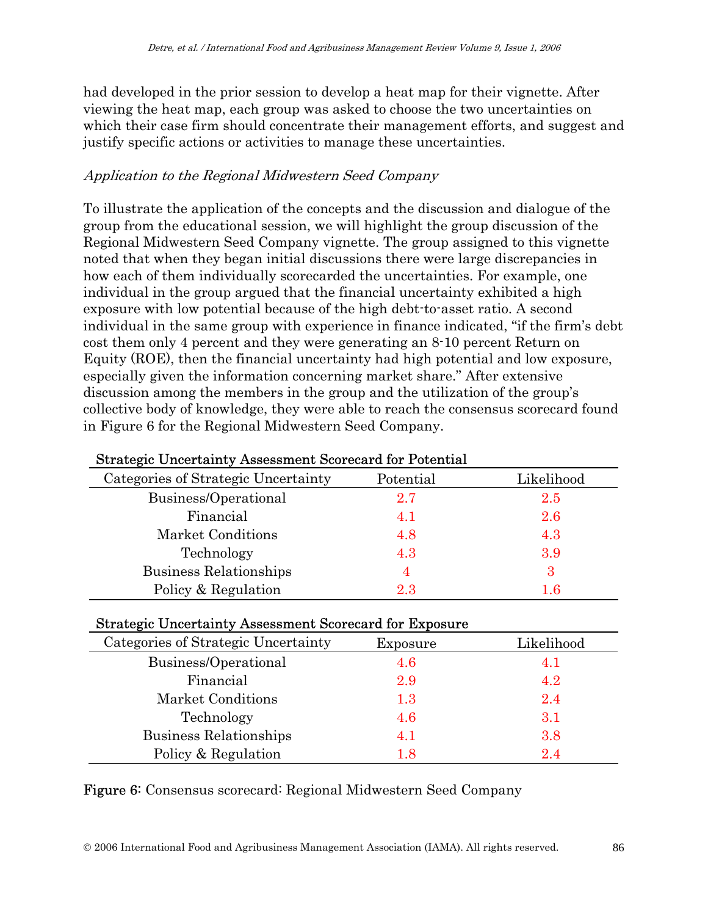had developed in the prior session to develop a heat map for their vignette. After viewing the heat map, each group was asked to choose the two uncertainties on which their case firm should concentrate their management efforts, and suggest and justify specific actions or activities to manage these uncertainties.

### Application to the Regional Midwestern Seed Company

To illustrate the application of the concepts and the discussion and dialogue of the group from the educational session, we will highlight the group discussion of the Regional Midwestern Seed Company vignette. The group assigned to this vignette noted that when they began initial discussions there were large discrepancies in how each of them individually scorecarded the uncertainties. For example, one individual in the group argued that the financial uncertainty exhibited a high exposure with low potential because of the high debt-to-asset ratio. A second individual in the same group with experience in finance indicated, "if the firm's debt cost them only 4 percent and they were generating an 8-10 percent Return on Equity (ROE), then the financial uncertainty had high potential and low exposure, especially given the information concerning market share." After extensive discussion among the members in the group and the utilization of the group's collective body of knowledge, they were able to reach the consensus scorecard found in Figure 6 for the Regional Midwestern Seed Company.

| Duratogic Oncertantly Assessment Deorecard for Totentian |           |            |  |  |  |  |
|----------------------------------------------------------|-----------|------------|--|--|--|--|
| Categories of Strategic Uncertainty                      | Potential | Likelihood |  |  |  |  |
| Business/Operational                                     | 2.7       | 2.5        |  |  |  |  |
| Financial                                                | 4.1       | 2.6        |  |  |  |  |
| Market Conditions                                        | 4.8       | 4.3        |  |  |  |  |
| Technology                                               | 4.3       | 3.9        |  |  |  |  |
| Business Relationships                                   | 4         | 3          |  |  |  |  |
| Policy & Regulation                                      | 2.3       | $1.6\,$    |  |  |  |  |

### Strategic Uncertainty Assessment Scorecard for Potential

#### Strategic Uncertainty Assessment Scorecard for Exposure

| Categories of Strategic Uncertainty | Exposure | Likelihood |
|-------------------------------------|----------|------------|
| Business/Operational                | 4.6      | 4. I       |
| Financial                           | 2.9      | 4.2        |
| Market Conditions                   | 1.3      | 2.4        |
| Technology                          | 4.6      | 3.1        |
| Business Relationships              | 4.1      | 3.8        |
| Policy & Regulation                 | 1.8      | 24         |

Figure 6: Consensus scorecard: Regional Midwestern Seed Company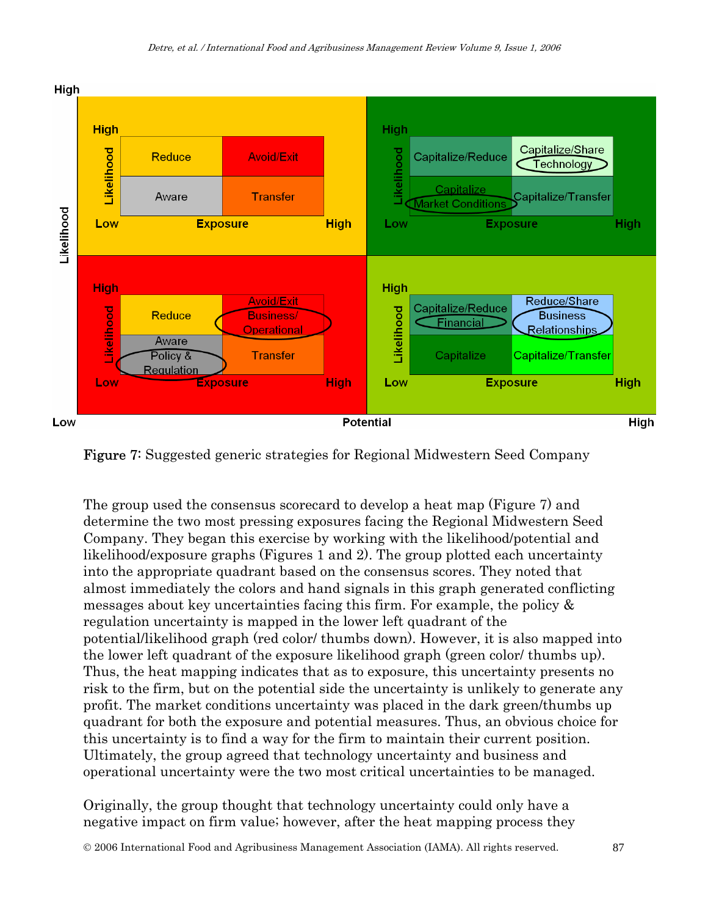

Figure 7: Suggested generic strategies for Regional Midwestern Seed Company

The group used the consensus scorecard to develop a heat map (Figure 7) and determine the two most pressing exposures facing the Regional Midwestern Seed Company. They began this exercise by working with the likelihood/potential and likelihood/exposure graphs (Figures 1 and 2). The group plotted each uncertainty into the appropriate quadrant based on the consensus scores. They noted that almost immediately the colors and hand signals in this graph generated conflicting messages about key uncertainties facing this firm. For example, the policy & regulation uncertainty is mapped in the lower left quadrant of the potential/likelihood graph (red color/ thumbs down). However, it is also mapped into the lower left quadrant of the exposure likelihood graph (green color/ thumbs up). Thus, the heat mapping indicates that as to exposure, this uncertainty presents no risk to the firm, but on the potential side the uncertainty is unlikely to generate any profit. The market conditions uncertainty was placed in the dark green/thumbs up quadrant for both the exposure and potential measures. Thus, an obvious choice for this uncertainty is to find a way for the firm to maintain their current position. Ultimately, the group agreed that technology uncertainty and business and operational uncertainty were the two most critical uncertainties to be managed.

Originally, the group thought that technology uncertainty could only have a negative impact on firm value; however, after the heat mapping process they

© 2006 International Food and Agribusiness Management Association (IAMA). All rights reserved. 87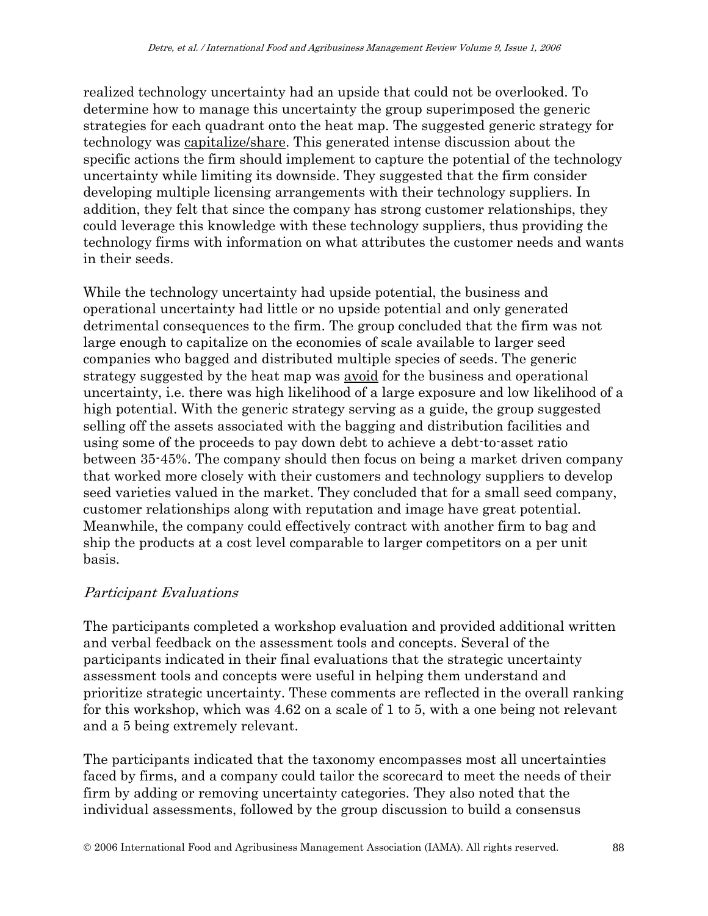realized technology uncertainty had an upside that could not be overlooked. To determine how to manage this uncertainty the group superimposed the generic strategies for each quadrant onto the heat map. The suggested generic strategy for technology was capitalize/share. This generated intense discussion about the specific actions the firm should implement to capture the potential of the technology uncertainty while limiting its downside. They suggested that the firm consider developing multiple licensing arrangements with their technology suppliers. In addition, they felt that since the company has strong customer relationships, they could leverage this knowledge with these technology suppliers, thus providing the technology firms with information on what attributes the customer needs and wants in their seeds.

While the technology uncertainty had upside potential, the business and operational uncertainty had little or no upside potential and only generated detrimental consequences to the firm. The group concluded that the firm was not large enough to capitalize on the economies of scale available to larger seed companies who bagged and distributed multiple species of seeds. The generic strategy suggested by the heat map was avoid for the business and operational uncertainty, i.e. there was high likelihood of a large exposure and low likelihood of a high potential. With the generic strategy serving as a guide, the group suggested selling off the assets associated with the bagging and distribution facilities and using some of the proceeds to pay down debt to achieve a debt-to-asset ratio between 35-45%. The company should then focus on being a market driven company that worked more closely with their customers and technology suppliers to develop seed varieties valued in the market. They concluded that for a small seed company, customer relationships along with reputation and image have great potential. Meanwhile, the company could effectively contract with another firm to bag and ship the products at a cost level comparable to larger competitors on a per unit basis.

### Participant Evaluations

The participants completed a workshop evaluation and provided additional written and verbal feedback on the assessment tools and concepts. Several of the participants indicated in their final evaluations that the strategic uncertainty assessment tools and concepts were useful in helping them understand and prioritize strategic uncertainty. These comments are reflected in the overall ranking for this workshop, which was 4.62 on a scale of 1 to 5, with a one being not relevant and a 5 being extremely relevant.

The participants indicated that the taxonomy encompasses most all uncertainties faced by firms, and a company could tailor the scorecard to meet the needs of their firm by adding or removing uncertainty categories. They also noted that the individual assessments, followed by the group discussion to build a consensus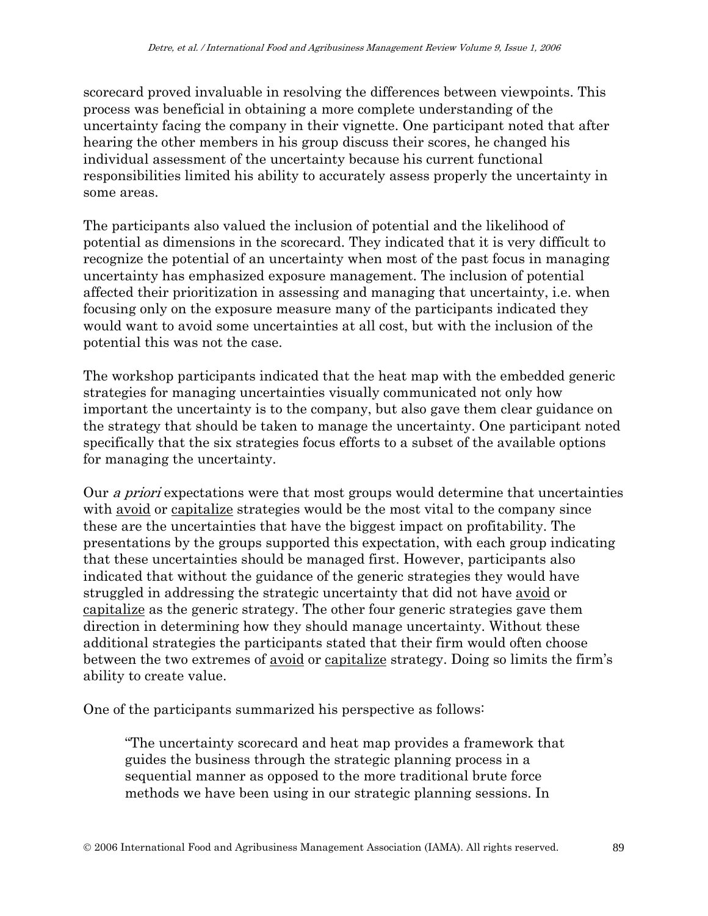scorecard proved invaluable in resolving the differences between viewpoints. This process was beneficial in obtaining a more complete understanding of the uncertainty facing the company in their vignette. One participant noted that after hearing the other members in his group discuss their scores, he changed his individual assessment of the uncertainty because his current functional responsibilities limited his ability to accurately assess properly the uncertainty in some areas.

The participants also valued the inclusion of potential and the likelihood of potential as dimensions in the scorecard. They indicated that it is very difficult to recognize the potential of an uncertainty when most of the past focus in managing uncertainty has emphasized exposure management. The inclusion of potential affected their prioritization in assessing and managing that uncertainty, i.e. when focusing only on the exposure measure many of the participants indicated they would want to avoid some uncertainties at all cost, but with the inclusion of the potential this was not the case.

The workshop participants indicated that the heat map with the embedded generic strategies for managing uncertainties visually communicated not only how important the uncertainty is to the company, but also gave them clear guidance on the strategy that should be taken to manage the uncertainty. One participant noted specifically that the six strategies focus efforts to a subset of the available options for managing the uncertainty.

Our *a priori* expectations were that most groups would determine that uncertainties with avoid or capitalize strategies would be the most vital to the company since these are the uncertainties that have the biggest impact on profitability. The presentations by the groups supported this expectation, with each group indicating that these uncertainties should be managed first. However, participants also indicated that without the guidance of the generic strategies they would have struggled in addressing the strategic uncertainty that did not have avoid or capitalize as the generic strategy. The other four generic strategies gave them direction in determining how they should manage uncertainty. Without these additional strategies the participants stated that their firm would often choose between the two extremes of avoid or capitalize strategy. Doing so limits the firm's ability to create value.

One of the participants summarized his perspective as follows:

"The uncertainty scorecard and heat map provides a framework that guides the business through the strategic planning process in a sequential manner as opposed to the more traditional brute force methods we have been using in our strategic planning sessions. In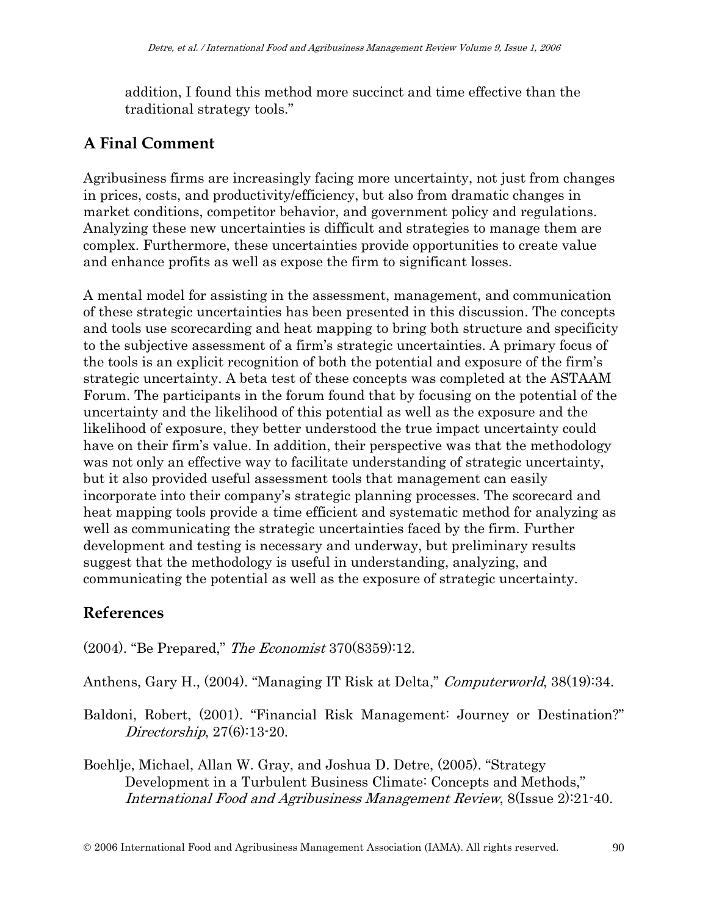addition, I found this method more succinct and time effective than the traditional strategy tools."

# **A Final Comment**

Agribusiness firms are increasingly facing more uncertainty, not just from changes in prices, costs, and productivity/efficiency, but also from dramatic changes in market conditions, competitor behavior, and government policy and regulations. Analyzing these new uncertainties is difficult and strategies to manage them are complex. Furthermore, these uncertainties provide opportunities to create value and enhance profits as well as expose the firm to significant losses.

A mental model for assisting in the assessment, management, and communication of these strategic uncertainties has been presented in this discussion. The concepts and tools use scorecarding and heat mapping to bring both structure and specificity to the subjective assessment of a firm's strategic uncertainties. A primary focus of the tools is an explicit recognition of both the potential and exposure of the firm's strategic uncertainty. A beta test of these concepts was completed at the ASTAAM Forum. The participants in the forum found that by focusing on the potential of the uncertainty and the likelihood of this potential as well as the exposure and the likelihood of exposure, they better understood the true impact uncertainty could have on their firm's value. In addition, their perspective was that the methodology was not only an effective way to facilitate understanding of strategic uncertainty, but it also provided useful assessment tools that management can easily incorporate into their company's strategic planning processes. The scorecard and heat mapping tools provide a time efficient and systematic method for analyzing as well as communicating the strategic uncertainties faced by the firm. Further development and testing is necessary and underway, but preliminary results suggest that the methodology is useful in understanding, analyzing, and communicating the potential as well as the exposure of strategic uncertainty.

### **References**

(2004). "Be Prepared," The Economist 370(8359):12.

Anthens, Gary H., (2004). "Managing IT Risk at Delta," *Computerworld*, 38(19):34.

Baldoni, Robert, (2001). "Financial Risk Management: Journey or Destination?" Directorship, 27(6):13-20.

Boehlje, Michael, Allan W. Gray, and Joshua D. Detre, (2005). "Strategy Development in a Turbulent Business Climate: Concepts and Methods," International Food and Agribusiness Management Review, 8(Issue 2):21-40.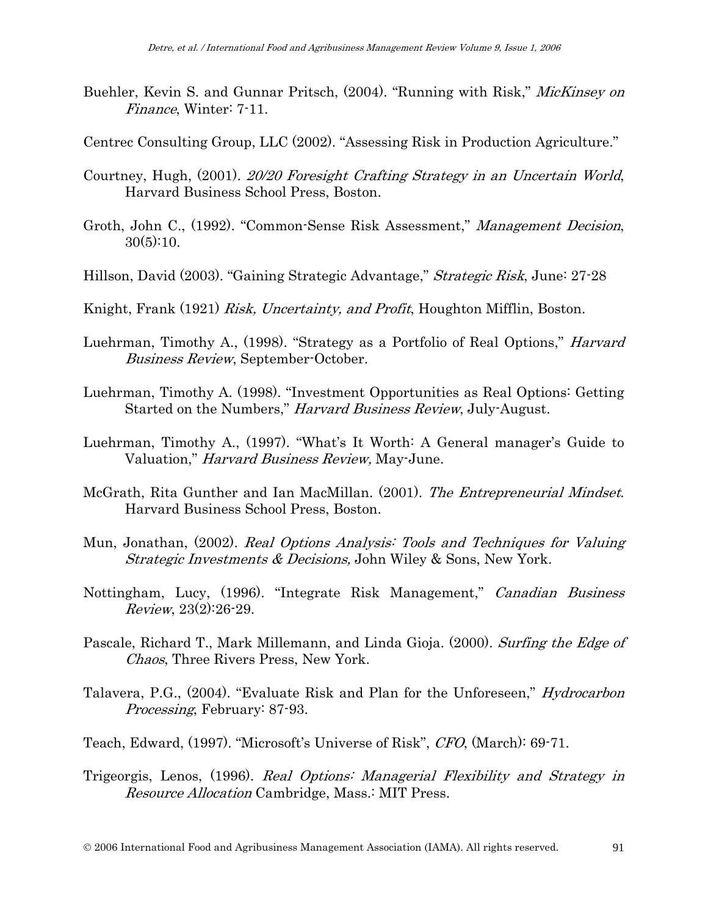- Buehler, Kevin S. and Gunnar Pritsch, (2004). "Running with Risk," *MicKinsey on* Finance, Winter: 7-11.
- Centrec Consulting Group, LLC (2002). "Assessing Risk in Production Agriculture."
- Courtney, Hugh, (2001). 20/20 Foresight Crafting Strategy in an Uncertain World, Harvard Business School Press, Boston.
- Groth, John C., (1992). "Common-Sense Risk Assessment," Management Decision,  $30(5):10.$
- Hillson, David (2003). "Gaining Strategic Advantage," Strategic Risk, June: 27-28
- Knight, Frank (1921) Risk, Uncertainty, and Profit, Houghton Mifflin, Boston.
- Luehrman, Timothy A., (1998). "Strategy as a Portfolio of Real Options," Harvard Business Review, September-October.
- Luehrman, Timothy A. (1998). "Investment Opportunities as Real Options: Getting Started on the Numbers," Harvard Business Review, July-August.
- Luehrman, Timothy A., (1997). "What's It Worth: A General manager's Guide to Valuation," *Harvard Business Review*, May-June.
- McGrath, Rita Gunther and Ian MacMillan. (2001). The Entrepreneurial Mindset. Harvard Business School Press, Boston.
- Mun, Jonathan, (2002). Real Options Analysis: Tools and Techniques for Valuing Strategic Investments & Decisions, John Wiley & Sons, New York.
- Nottingham, Lucy, (1996). "Integrate Risk Management," Canadian Business Review, 23(2):26-29.
- Pascale, Richard T., Mark Millemann, and Linda Gioja. (2000). Surfing the Edge of Chaos, Three Rivers Press, New York.
- Talavera, P.G., (2004). "Evaluate Risk and Plan for the Unforeseen," *Hydrocarbon* Processing, February: 87-93.
- Teach, Edward, (1997). "Microsoft's Universe of Risk", CFO, (March): 69-71.
- Trigeorgis, Lenos, (1996). Real Options: Managerial Flexibility and Strategy in Resource Allocation Cambridge, Mass.: MIT Press.